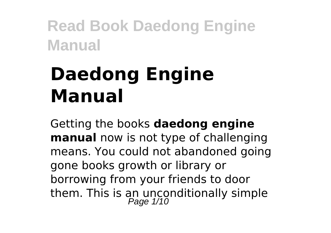# **Daedong Engine Manual**

Getting the books **daedong engine manual** now is not type of challenging means. You could not abandoned going gone books growth or library or borrowing from your friends to door them. This is an unconditionally simple<br>Page 1/10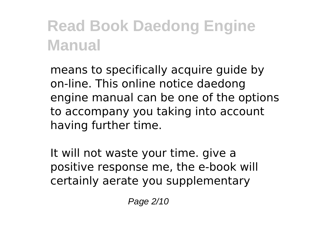means to specifically acquire guide by on-line. This online notice daedong engine manual can be one of the options to accompany you taking into account having further time.

It will not waste your time. give a positive response me, the e-book will certainly aerate you supplementary

Page 2/10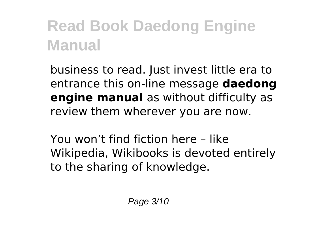business to read. Just invest little era to entrance this on-line message **daedong engine manual** as without difficulty as review them wherever you are now.

You won't find fiction here – like Wikipedia, Wikibooks is devoted entirely to the sharing of knowledge.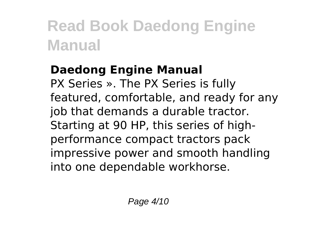#### **Daedong Engine Manual**

PX Series ». The PX Series is fully featured, comfortable, and ready for any job that demands a durable tractor. Starting at 90 HP, this series of highperformance compact tractors pack impressive power and smooth handling into one dependable workhorse.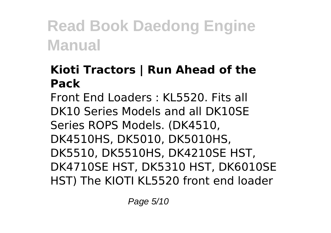#### **Kioti Tractors | Run Ahead of the Pack**

Front End Loaders : KL5520. Fits all DK10 Series Models and all DK10SE Series ROPS Models. (DK4510, DK4510HS, DK5010, DK5010HS, DK5510, DK5510HS, DK4210SE HST, DK4710SE HST, DK5310 HST, DK6010SE HST) The KIOTI KL5520 front end loader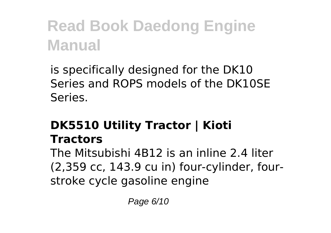is specifically designed for the DK10 Series and ROPS models of the DK10SE Series.

#### **DK5510 Utility Tractor | Kioti Tractors**

The Mitsubishi 4B12 is an inline 2.4 liter (2,359 cc, 143.9 cu in) four-cylinder, fourstroke cycle gasoline engine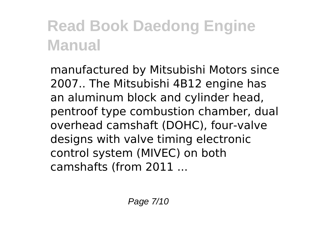manufactured by Mitsubishi Motors since 2007.. The Mitsubishi 4B12 engine has an aluminum block and cylinder head, pentroof type combustion chamber, dual overhead camshaft (DOHC), four-valve designs with valve timing electronic control system (MIVEC) on both camshafts (from 2011 ...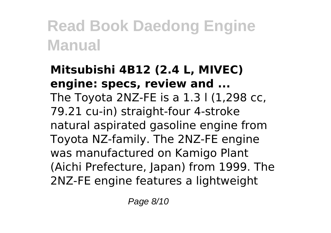#### **Mitsubishi 4B12 (2.4 L, MIVEC) engine: specs, review and ...** The Toyota 2NZ-FE is a 1.3 l (1,298 cc, 79.21 cu-in) straight-four 4-stroke natural aspirated gasoline engine from Toyota NZ-family. The 2NZ-FE engine was manufactured on Kamigo Plant (Aichi Prefecture, Japan) from 1999. The 2NZ-FE engine features a lightweight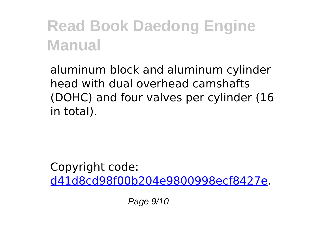aluminum block and aluminum cylinder head with dual overhead camshafts (DOHC) and four valves per cylinder (16 in total).

Copyright code: [d41d8cd98f00b204e9800998ecf8427e.](/sitemap.xml)

Page 9/10